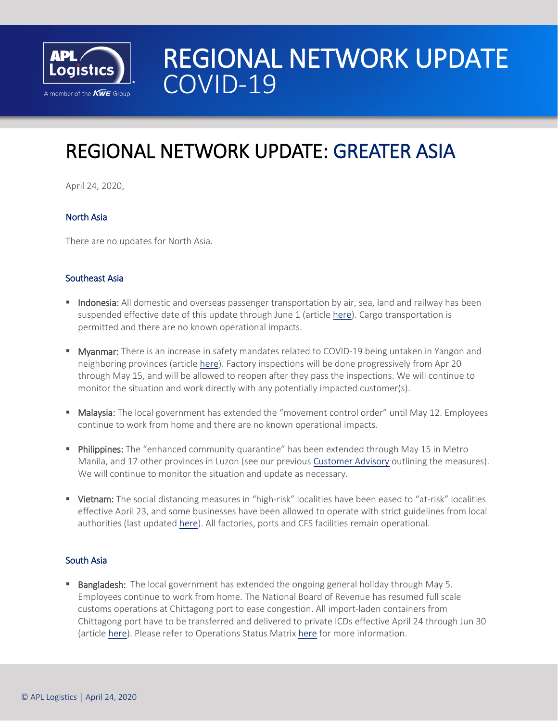

# REGIONAL NETWORK UPDATE<br>COVID-19

## I REGIONAL NETWORK UPDATE: GREATER ASIA

April 24, 2020,

### North Asia

There are no updates for North Asia.

#### Southeast Asia

- **Indonesia:** All domestic and overseas passenger transportation by air, sea, land and railway has been suspended effective date of this update through June 1 (article [here\)](https://www.thejakartapost.com/news/2020/04/23/govt-temporarily-bans-passenger-travel-to-prevent-mudik.html). Cargo transportation is permitted and there are no known operational impacts.
- **Myanmar:** There is an increase in safety mandates related to COVID-19 being untaken in Yangon and neighboring provinces (article [here\)](https://www.globalnewlightofmyanmar.com/covid-19-related-directives-extended-till-15-may-state-counsellor/). Factory inspections will be done progressively from Apr 20 through May 15, and will be allowed to reopen after they pass the inspections. We will continue to monitor the situation and work directly with any potentially impacted customer(s).
- Malaysia: The local government has extended the "movement control order" until May 12. Employees continue to work from home and there are no known operational impacts.
- **Philippines:** The "enhanced community quarantine" has been extended through May 15 in Metro Manila, and 17 other provinces in Luzon (see our previou[s Customer Advisory](https://www.apllogistics.com/2020/03/customer-advisory-covid-19-update-greater-asia-2) outlining the measures). We will continue to monitor the situation and update as necessary.
- **Vietnam:** The social distancing measures in "high-risk" localities have been eased to "at-risk" localities effective April 23, and some businesses have been allowed to operate with strict guidelines from local authorities (last update[d here\)](https://apll.sharepoint.com/sites/apll_global_marketing/COVID19%20Region%20Operational%20Status/APLL%20Regional%20Network%20Update%20-%20COVID19%2004162020%20(Greater%20Asia).pdf). All factories, ports and CFS facilities remain operational.

#### South Asia

 Bangladesh: The local government has extended the ongoing general holiday through May 5. Employees continue to work from home. The National Board of Revenue has resumed full scale customs operations at Chittagong port to ease congestion. All import-laden containers from Chittagong port have to be transferred and delivered to private ICDs effective April 24 through Jun 30 (article [here\)](https://dailyasianage.com/news/227455/nbr-instructs-transfer-of--containers-to-pvt-depots). Please refer to Operations Status Matrix [here](https://apllogistics.my.salesforce.com/sfc/p/o0000000ZWI0/a/1J000000PnlT/oCipucG0_W8HFyJTLNm0QlYrgmrYLDwyiSPlehlXByQ) for more information.